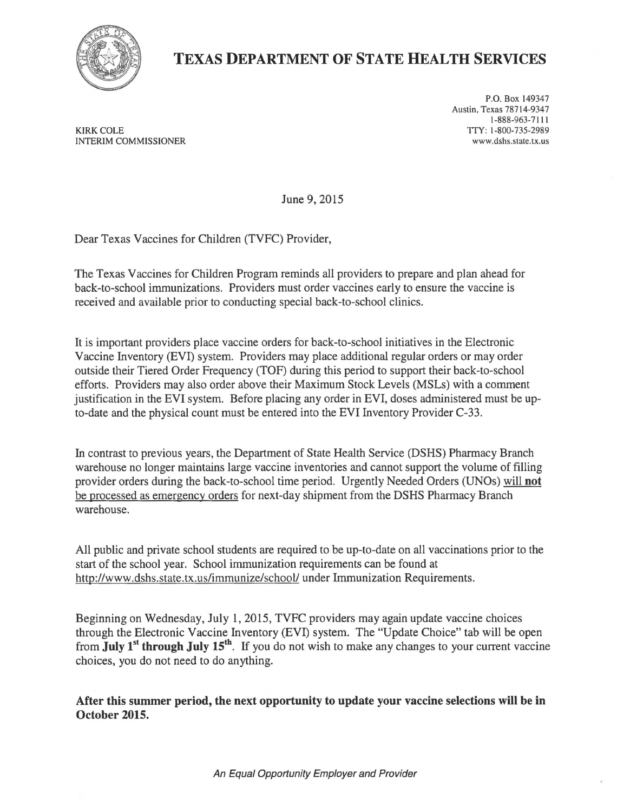

## **TEXAS DEPARTMENT OF STATE HEALTH SERVICES**

KIRK COLE INTERIM COMMISSIONER

P.O. Box 149347 Austin, Texas 78714-9347 1-888-963-7111 77<1-800-735-2989 www.dshs.state.tx.us

June 9, 2015

Dear Texas Vaccines for Children (TVFC) Provider,

The Texas Vaccines for Children Program reminds all providers to prepare and plan ahead for back-to-school immunizations. Providers must order vaccines early to ensure the vaccine is received and available prior to conducting special back-to-school clinics.

It is important providers place vaccine orders for back-to-school initiatives in the Electronic Vaccine Inventory (EVI) system. Providers may place additional regular orders or may order outside their Tiered Order Frequency (TOF) during this period to support their back-to-school efforts. Providers may also order above their Maximum Stock Levels (MSLs) with a comment justification in the EVI system. Before placing any order in EVI, doses administered must be upto-date and the physical count must be entered into the EVI Inventory Provider C-33.

In contrast to previous years, the Department of State Health Service (DSHS) Pharmacy Branch warehouse no longer maintains large vaccine inventories and cannot support the volume of filling provider orders during the back-to-school time period. Urgently Needed Orders (UNOs) will **not**  be processed as emergency orders for next-day shipment from the DSHS Pharmacy Branch warehouse.

All public and private school students are required to be up-to-date on all vaccinations prior to the start of the school year. School immunization requirements can be found at http://www.dshs.state.tx.us/immunize/school/ under Immunization Requirements.

Beginning on Wednesday, July 1, 2015, TVFC providers may again update vaccine choices through the Electronic Vaccine Inventory (EVI) system. The "Update Choice" tab will be open from **July** 1st **through July 15th.** If you do not wish to make any changes to your current vaccine choices, you do not need to do anything.

**After this summer period, the next opportunity to update your vaccine selections will be in October 2015.**